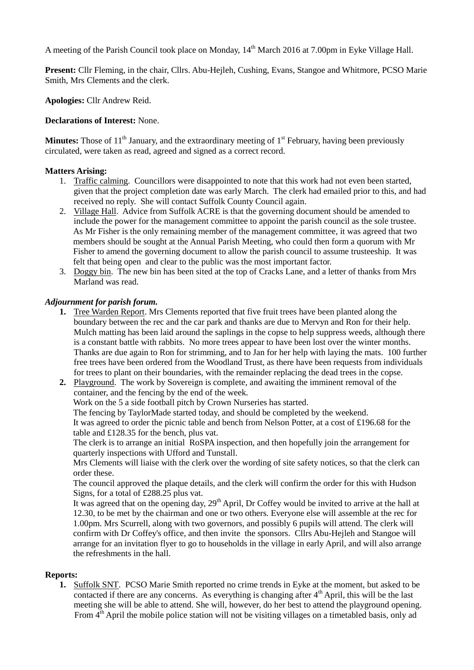A meeting of the Parish Council took place on Monday, 14<sup>th</sup> March 2016 at 7.00pm in Eyke Village Hall.

**Present:** Cllr Fleming, in the chair, Cllrs. Abu-Hejleh, Cushing, Evans, Stangoe and Whitmore, PCSO Marie Smith, Mrs Clements and the clerk.

**Apologies:** Cllr Andrew Reid.

### **Declarations of Interest:** None.

**Minutes:** Those of  $11<sup>th</sup>$  January, and the extraordinary meeting of  $1<sup>st</sup>$  February, having been previously circulated, were taken as read, agreed and signed as a correct record.

## **Matters Arising:**

- 1. Traffic calming. Councillors were disappointed to note that this work had not even been started, given that the project completion date was early March. The clerk had emailed prior to this, and had received no reply. She will contact Suffolk County Council again.
- 2. Village Hall. Advice from Suffolk ACRE is that the governing document should be amended to include the power for the management committee to appoint the parish council as the sole trustee. As Mr Fisher is the only remaining member of the management committee, it was agreed that two members should be sought at the Annual Parish Meeting, who could then form a quorum with Mr Fisher to amend the governing document to allow the parish council to assume trusteeship. It was felt that being open and clear to the public was the most important factor.
- 3. Doggy bin. The new bin has been sited at the top of Cracks Lane, and a letter of thanks from Mrs Marland was read.

## *Adjournment for parish forum.*

- **1.** Tree Warden Report. Mrs Clements reported that five fruit trees have been planted along the boundary between the rec and the car park and thanks are due to Mervyn and Ron for their help. Mulch matting has been laid around the saplings in the copse to help suppress weeds, although there is a constant battle with rabbits. No more trees appear to have been lost over the winter months. Thanks are due again to Ron for strimming, and to Jan for her help with laying the mats. 100 further free trees have been ordered from the Woodland Trust, as there have been requests from individuals for trees to plant on their boundaries, with the remainder replacing the dead trees in the copse.
- **2.** Playground. The work by Sovereign is complete, and awaiting the imminent removal of the container, and the fencing by the end of the week.

Work on the 5 a side football pitch by Crown Nurseries has started.

The fencing by TaylorMade started today, and should be completed by the weekend.

It was agreed to order the picnic table and bench from Nelson Potter, at a cost of £196.68 for the table and £128.35 for the bench, plus vat.

The clerk is to arrange an initial RoSPA inspection, and then hopefully join the arrangement for quarterly inspections with Ufford and Tunstall.

Mrs Clements will liaise with the clerk over the wording of site safety notices, so that the clerk can order these.

The council approved the plaque details, and the clerk will confirm the order for this with Hudson Signs, for a total of £288.25 plus vat.

It was agreed that on the opening day, 29<sup>th</sup> April, Dr Coffey would be invited to arrive at the hall at 12.30, to be met by the chairman and one or two others. Everyone else will assemble at the rec for 1.00pm. Mrs Scurrell, along with two governors, and possibly 6 pupils will attend. The clerk will confirm with Dr Coffey's office, and then invite the sponsors. Cllrs Abu-Hejleh and Stangoe will arrange for an invitation flyer to go to households in the village in early April, and will also arrange the refreshments in the hall.

#### **Reports:**

**1.** Suffolk SNT. PCSO Marie Smith reported no crime trends in Eyke at the moment, but asked to be contacted if there are any concerns. As everything is changing after  $4<sup>th</sup>$  April, this will be the last meeting she will be able to attend. She will, however, do her best to attend the playground opening. From  $4<sup>th</sup>$  April the mobile police station will not be visiting villages on a timetabled basis, only ad